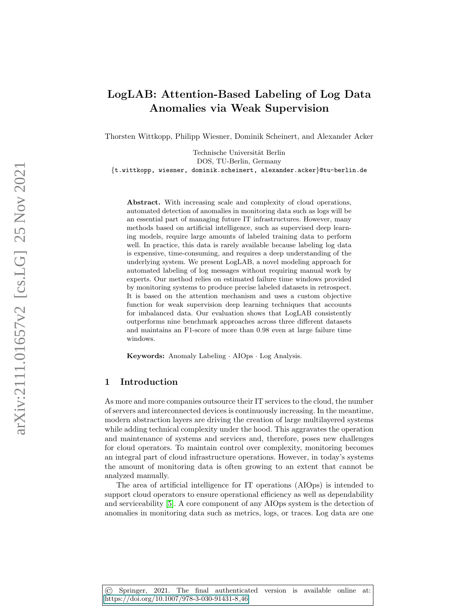# LogLAB: Attention-Based Labeling of Log Data Anomalies via Weak Supervision

Thorsten Wittkopp, Philipp Wiesner, Dominik Scheinert, and Alexander Acker

Technische Universität Berlin DOS, TU-Berlin, Germany {t.wittkopp, wiesner, dominik.scheinert, alexander.acker}@tu-berlin.de

Abstract. With increasing scale and complexity of cloud operations, automated detection of anomalies in monitoring data such as logs will be an essential part of managing future IT infrastructures. However, many methods based on artificial intelligence, such as supervised deep learning models, require large amounts of labeled training data to perform well. In practice, this data is rarely available because labeling log data is expensive, time-consuming, and requires a deep understanding of the underlying system. We present LogLAB, a novel modeling approach for automated labeling of log messages without requiring manual work by experts. Our method relies on estimated failure time windows provided by monitoring systems to produce precise labeled datasets in retrospect. It is based on the attention mechanism and uses a custom objective function for weak supervision deep learning techniques that accounts for imbalanced data. Our evaluation shows that LogLAB consistently outperforms nine benchmark approaches across three different datasets and maintains an F1-score of more than 0.98 even at large failure time windows.

Keywords: Anomaly Labeling · AIOps · Log Analysis.

## 1 Introduction

As more and more companies outsource their IT services to the cloud, the number of servers and interconnected devices is continuously increasing. In the meantime, modern abstraction layers are driving the creation of large multilayered systems while adding technical complexity under the hood. This aggravates the operation and maintenance of systems and services and, therefore, poses new challenges for cloud operators. To maintain control over complexity, monitoring becomes an integral part of cloud infrastructure operations. However, in today's systems the amount of monitoring data is often growing to an extent that cannot be analyzed manually.

The area of artificial intelligence for IT operations (AIOps) is intended to support cloud operators to ensure operational efficiency as well as dependability and serviceability [\[5\]](#page-6-0). A core component of any AIOps system is the detection of anomalies in monitoring data such as metrics, logs, or traces. Log data are one

© Springer, 2021. The final authenticated version is available online at: https://doi.org/10.1007/978-3-030-91431-8 46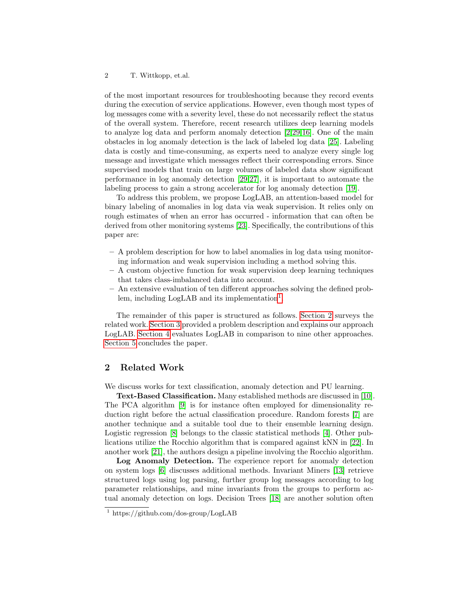#### 2 T. Wittkopp, et.al.

of the most important resources for troubleshooting because they record events during the execution of service applications. However, even though most types of log messages come with a severity level, these do not necessarily reflect the status of the overall system. Therefore, recent research utilizes deep learning models to analyze log data and perform anomaly detection [\[2,](#page-6-1)[29,](#page-7-0)[16\]](#page-7-1). One of the main obstacles in log anomaly detection is the lack of labeled log data [\[25\]](#page-7-2). Labeling data is costly and time-consuming, as experts need to analyze every single log message and investigate which messages reflect their corresponding errors. Since supervised models that train on large volumes of labeled data show significant performance in log anomaly detection [\[29](#page-7-0)[,27\]](#page-7-3), it is important to automate the labeling process to gain a strong accelerator for log anomaly detection [\[19\]](#page-7-4).

To address this problem, we propose LogLAB, an attention-based model for binary labeling of anomalies in log data via weak supervision. It relies only on rough estimates of when an error has occurred - information that can often be derived from other monitoring systems [\[23\]](#page-7-5). Specifically, the contributions of this paper are:

- A problem description for how to label anomalies in log data using monitoring information and weak supervision including a method solving this.
- A custom objective function for weak supervision deep learning techniques that takes class-imbalanced data into account.
- An extensive evaluation of ten different approaches solving the defined prob-lem, including LogLAB and its implementation<sup>[1](#page-1-0)</sup>.

The remainder of this paper is structured as follows. [Section 2](#page-1-1) surveys the related work. [Section 3](#page-2-0) provided a problem description and explains our approach LogLAB. [Section 4](#page-4-0) evaluates LogLAB in comparison to nine other approaches. [Section 5](#page-6-2) concludes the paper.

# <span id="page-1-1"></span>2 Related Work

We discuss works for text classification, anomaly detection and PU learning.

Text-Based Classification. Many established methods are discussed in [\[10\]](#page-7-6). The PCA algorithm [\[9\]](#page-7-7) is for instance often employed for dimensionality reduction right before the actual classification procedure. Random forests [\[7\]](#page-7-8) are another technique and a suitable tool due to their ensemble learning design. Logistic regression [\[8\]](#page-7-9) belongs to the classic statistical methods [\[4\]](#page-6-3). Other publications utilize the Rocchio algorithm that is compared against kNN in [\[22\]](#page-7-10). In another work [\[21\]](#page-7-11), the authors design a pipeline involving the Rocchio algorithm.

Log Anomaly Detection. The experience report for anomaly detection on system logs [\[6\]](#page-6-4) discusses additional methods. Invariant Miners [\[13\]](#page-7-12) retrieve structured logs using log parsing, further group log messages according to log parameter relationships, and mine invariants from the groups to perform actual anomaly detection on logs. Decision Trees [\[18\]](#page-7-13) are another solution often

<span id="page-1-0"></span><sup>&</sup>lt;sup>1</sup> https://github.com/dos-group/LogLAB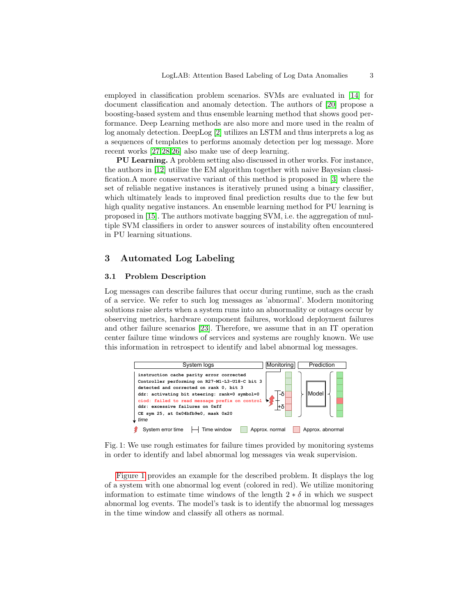employed in classification problem scenarios. SVMs are evaluated in [\[14\]](#page-7-14) for document classification and anomaly detection. The authors of [\[20\]](#page-7-15) propose a boosting-based system and thus ensemble learning method that shows good performance. Deep Learning methods are also more and more used in the realm of log anomaly detection. DeepLog [\[2\]](#page-6-1) utilizes an LSTM and thus interprets a log as a sequences of templates to performs anomaly detection per log message. More recent works [\[27](#page-7-3)[,28,](#page-7-16)[26\]](#page-7-17) also make use of deep learning.

PU Learning. A problem setting also discussed in other works. For instance, the authors in [\[12\]](#page-7-18) utilize the EM algorithm together with naive Bayesian classification.A more conservative variant of this method is proposed in [\[3\]](#page-6-5) where the set of reliable negative instances is iteratively pruned using a binary classifier, which ultimately leads to improved final prediction results due to the few but high quality negative instances. An ensemble learning method for PU learning is proposed in [\[15\]](#page-7-19). The authors motivate bagging SVM, i.e. the aggregation of multiple SVM classifiers in order to answer sources of instability often encountered in PU learning situations.

# <span id="page-2-0"></span>3 Automated Log Labeling

#### 3.1 Problem Description

Log messages can describe failures that occur during runtime, such as the crash of a service. We refer to such log messages as 'abnormal'. Modern monitoring solutions raise alerts when a system runs into an abnormality or outages occur by observing metrics, hardware component failures, workload deployment failures and other failure scenarios [\[23\]](#page-7-5). Therefore, we assume that in an IT operation center failure time windows of services and systems are roughly known. We use this information in retrospect to identify and label abnormal log messages.

<span id="page-2-1"></span>

Fig. 1: We use rough estimates for failure times provided by monitoring systems in order to identify and label abnormal log messages via weak supervision.

[Figure 1](#page-2-1) provides an example for the described problem. It displays the log of a system with one abnormal log event (colored in red). We utilize monitoring information to estimate time windows of the length  $2 * \delta$  in which we suspect abnormal log events. The model's task is to identify the abnormal log messages in the time window and classify all others as normal.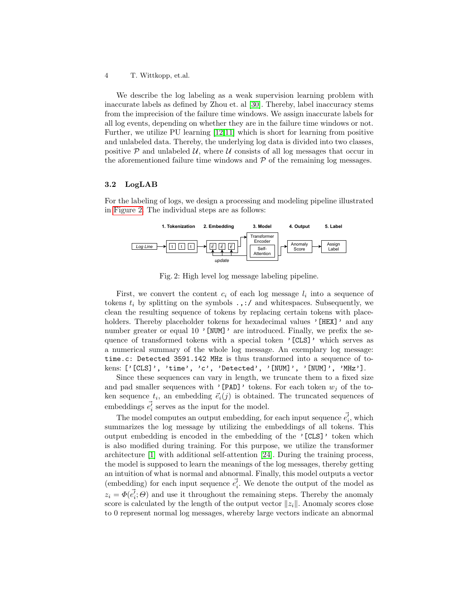4 T. Wittkopp, et.al.

We describe the log labeling as a weak supervision learning problem with inaccurate labels as defined by Zhou et. al [\[30\]](#page-7-20). Thereby, label inaccuracy stems from the imprecision of the failure time windows. We assign inaccurate labels for all log events, depending on whether they are in the failure time windows or not. Further, we utilize PU learning [\[12,](#page-7-18)[11\]](#page-7-21) which is short for learning from positive and unlabeled data. Thereby, the underlying log data is divided into two classes, positive P and unlabeled U, where U consists of all log messages that occur in the aforementioned failure time windows and  $\mathcal P$  of the remaining log messages.

#### 3.2 LogLAB

For the labeling of logs, we design a processing and modeling pipeline illustrated in [Figure 2.](#page-3-0) The individual steps are as follows:

<span id="page-3-0"></span>

Fig. 2: High level log message labeling pipeline.

First, we convert the content  $c_i$  of each log message  $l_i$  into a sequence of tokens  $t_i$  by splitting on the symbols  $\ldots$ ; / and whitespaces. Subsequently, we clean the resulting sequence of tokens by replacing certain tokens with placeholders. Thereby placeholder tokens for hexadecimal values '[HEX]' and any number greater or equal 10 '[NUM]' are introduced. Finally, we prefix the sequence of transformed tokens with a special token '[CLS]' which serves as a numerical summary of the whole log message. An exemplary log message: time.c: Detected 3591.142 MHz is thus transformed into a sequence of tokens: ['[CLS]', 'time', 'c', 'Detected', '[NUM]', '[NUM]', 'MHz'].

Since these sequences can vary in length, we truncate them to a fixed size and pad smaller sequences with '[PAD]' tokens. For each token  $w_i$  of the token sequence  $t_i$ , an embedding  $\vec{e}_i(j)$  is obtained. The truncated sequences of embeddings  $\vec{e'_i}$  serves as the input for the model.

The model computes an output embedding, for each input sequence  $\vec{e'_i}$ , which summarizes the log message by utilizing the embeddings of all tokens. This output embedding is encoded in the embedding of the '[CLS]' token which is also modified during training. For this purpose, we utilize the transformer architecture [\[1\]](#page-6-6) with additional self-attention [\[24\]](#page-7-22). During the training process, the model is supposed to learn the meanings of the log messages, thereby getting an intuition of what is normal and abnormal. Finally, this model outputs a vector (embedding) for each input sequence  $\vec{e'_i}$ . We denote the output of the model as  $z_i = \Phi(\vec{e_i}; \Theta)$  and use it throughout the remaining steps. Thereby the anomaly score is calculated by the length of the output vector  $||z_i||$ . Anomaly scores close to 0 represent normal log messages, whereby large vectors indicate an abnormal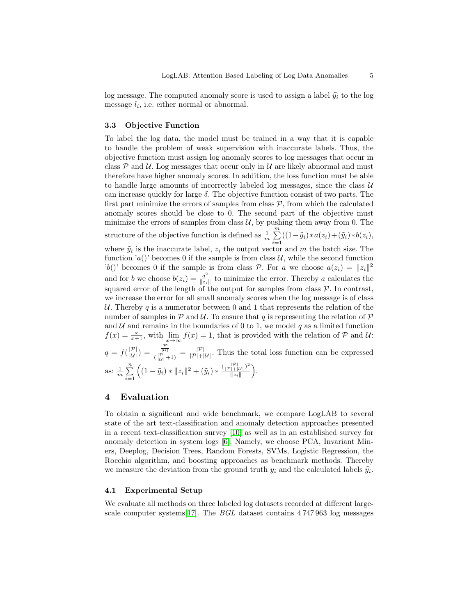log message. The computed anomaly score is used to assign a label  $\hat{y}_i$  to the log message  $l_i$ , i.e. either normal or abnormal.

#### 3.3 Objective Function

To label the log data, the model must be trained in a way that it is capable to handle the problem of weak supervision with inaccurate labels. Thus, the objective function must assign log anomaly scores to log messages that occur in class  $P$  and  $U$ . Log messages that occur only in  $U$  are likely abnormal and must therefore have higher anomaly scores. In addition, the loss function must be able to handle large amounts of incorrectly labeled log messages, since the class  $U$ can increase quickly for large  $\delta$ . The objective function consist of two parts. The first part minimize the errors of samples from class  $P$ , from which the calculated anomaly scores should be close to 0. The second part of the objective must minimize the errors of samples from class  $U$ , by pushing them away from 0. The structure of the objective function is defined as  $\frac{1}{m} \sum_{n=1}^{m}$  $\sum_{i=1}((1-\tilde{y}_i)*a(z_i)+(\tilde{y}_i)*b(z_i),$ where  $\tilde{y}_i$  is the inaccurate label,  $z_i$  the output vector and m the batch size. The function 'a()' becomes 0 if the sample is from class  $\mathcal{U}$ , while the second function 'b()' becomes 0 if the sample is from class P. For a we choose  $a(z_i) = ||z_i||^2$ and for b we choose  $b(z_i) = \frac{q^2}{\|z_i\|}$  $\frac{q^2}{\|z_i\|}$  to minimize the error. Thereby a calculates the squared error of the length of the output for samples from class  $P$ . In contrast, we increase the error for all small anomaly scores when the log message is of class U. Thereby q is a numerator between 0 and 1 that represents the relation of the number of samples in  $P$  and  $U$ . To ensure that q is representing the relation of  $P$ and  $\mathcal U$  and remains in the boundaries of 0 to 1, we model q as a limited function  $f(x) = \frac{x}{x+1}$ , with  $\lim_{x\to\infty} f(x) = 1$ , that is provided with the relation of  $P$  and  $U$ :  $q = f(\frac{|\mathcal{P}|}{|\mathcal{U}|}) = \frac{\frac{|\mathcal{P}|}{|\mathcal{U}|}}{(\frac{|\mathcal{P}|}{|\mathcal{P}|})}$  $\frac{|\overline{u}|}{|\overline{u}|+1|} = \frac{|\mathcal{P}|}{|\mathcal{P}|+|\mathcal{U}|}.$  Thus the total loss function can be expressed as:  $\frac{1}{m}$   $\sum_{n=1}^{n}$  $i=1$  $\left( (1 - \tilde{y}_i) * ||z_i||^2 + (\tilde{y}_i) * \frac{(\frac{|\mathcal{P}|}{|\mathcal{P}| + |\mathcal{U}|})^2}{||z_i||} \right)$  $rac{\frac{|F|}{|+|U|}}{\|z_i\|}$ .

# <span id="page-4-0"></span>4 Evaluation

To obtain a significant and wide benchmark, we compare LogLAB to several state of the art text-classification and anomaly detection approaches presented in a recent text-classification survey [\[10\]](#page-7-6) as well as in an established survey for anomaly detection in system logs [\[6\]](#page-6-4). Namely, we choose PCA, Invariant Miners, Deeplog, Decision Trees, Random Forests, SVMs, Logistic Regression, the Rocchio algorithm, and boosting approaches as benchmark methods. Thereby we measure the deviation from the ground truth  $y_i$  and the calculated labels  $\hat{y}_i$ .

#### 4.1 Experimental Setup

We evaluate all methods on three labeled log datasets recorded at different largescale computer systems[\[17\]](#page-7-23). The BGL dataset contains 4 747 963 log messages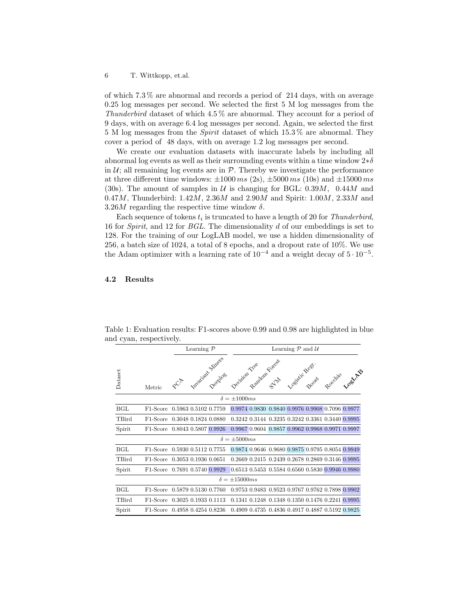of which 7.3 % are abnormal and records a period of 214 days, with on average 0.25 log messages per second. We selected the first 5 M log messages from the Thunderbird dataset of which 4.5 % are abnormal. They account for a period of 9 days, with on average 6.4 log messages per second. Again, we selected the first 5 M log messages from the Spirit dataset of which 15.3 % are abnormal. They cover a period of 48 days, with on average 1.2 log messages per second.

We create our evaluation datasets with inaccurate labels by including all abnormal log events as well as their surrounding events within a time window  $2*\delta$ in  $U$ ; all remaining log events are in  $\mathcal{P}$ . Thereby we investigate the performance at three different time windows:  $\pm 1000 \text{ ms}$  (2s),  $\pm 5000 \text{ ms}$  (10s) and  $\pm 15000 \text{ ms}$ (30s). The amount of samples in  $U$  is changing for BGL: 0.39*M*, 0.44*M* and 0.47*M*, Thunderbird: 1.42*M*, 2.36*M* and 2.90*M* and Spirit: 1.00*M*, 2.33*M* and 3.26M regarding the respective time window  $\delta$ .

Each sequence of tokens  $t_i$  is truncated to have a length of 20 for Thunderbird, 16 for Spirit, and 12 for BGL. The dimensionality d of our embeddings is set to 128. For the training of our LogLAB model, we use a hidden dimensionality of 256, a batch size of 1024, a total of 8 epochs, and a dropout rate of 10%. We use the Adam optimizer with a learning rate of  $10^{-4}$  and a weight decay of  $5 \cdot 10^{-5}$ .

#### 4.2 Results

|                        |                               | Learning $P$                    |  |                        | Learning $P$ and $U$ |                          |                                                  |  |                  |  |                                                  |
|------------------------|-------------------------------|---------------------------------|--|------------------------|----------------------|--------------------------|--------------------------------------------------|--|------------------|--|--------------------------------------------------|
| Dataset                | Metric                        | $x^{\mathcal{C}^{\mathcal{P}}}$ |  | Is reprint the file of |                      | Accision Tree dam Forces |                                                  |  | pesitive Regist. |  | Rocchio Loguage                                  |
| $\delta = \pm 1000 ms$ |                               |                                 |  |                        |                      |                          |                                                  |  |                  |  |                                                  |
| BGL                    | F <sub>1</sub> -Score         | 0.5963 0.5102 0.7759            |  |                        |                      |                          |                                                  |  |                  |  | 0.9974 0.9830 0.9840 0.9976 0.9908 0.7096 0.9977 |
| TBird                  | F1-Score 0.3048 0.1824 0.0880 |                                 |  |                        |                      |                          | 0.3242 0.3144 0.3235 0.3242 0.3361 0.3440 0.9995 |  |                  |  |                                                  |
| Spirit                 | F1-Score 0.8043 0.5807 0.9926 |                                 |  |                        |                      |                          |                                                  |  |                  |  | 0.9967 0.9604 0.9857 0.9962 0.9968 0.9971 0.9997 |
| $\delta = \pm 5000ms$  |                               |                                 |  |                        |                      |                          |                                                  |  |                  |  |                                                  |
| BGL                    | F1-Score                      | 0.5930 0.5112 0.7755            |  |                        |                      |                          |                                                  |  |                  |  | 0.9874 0.9646 0.9680 0.9875 0.9795 0.8054 0.9949 |
| TBird                  | F <sub>1</sub> -Score         | 0.3053 0.1936 0.0651            |  |                        |                      |                          |                                                  |  |                  |  | 0.2669 0.2415 0.2439 0.2678 0.2869 0.3146 0.9995 |
| Spirit                 | F1-Score 0.7691 0.5740 0.9929 |                                 |  |                        |                      |                          | 0.6513 0.5453 0.5584 0.6560 0.5830 0.9946 0.9980 |  |                  |  |                                                  |
| $\delta = \pm 15000ms$ |                               |                                 |  |                        |                      |                          |                                                  |  |                  |  |                                                  |
| BGL                    | F <sub>1</sub> -Score         | 0.5879 0.5130 0.7760            |  |                        |                      |                          |                                                  |  |                  |  | 0.9753 0.9483 0.9523 0.9767 0.9762 0.7898 0.9902 |
| TBird                  | F <sub>1</sub> -Score         | 0.3025 0.1933 0.1113            |  |                        |                      |                          | 0.1341 0.1248 0.1348 0.1350 0.1476 0.2241 0.9995 |  |                  |  |                                                  |
| Spirit                 | F <sub>1</sub> -Score         | 0.4958 0.4254 0.8236            |  |                        |                      |                          | 0.4909 0.4735 0.4836 0.4917 0.4887 0.5192 0.9825 |  |                  |  |                                                  |

<span id="page-5-0"></span>Table 1: Evaluation results: F1-scores above 0.99 and 0.98 are highlighted in blue and cyan, respectively.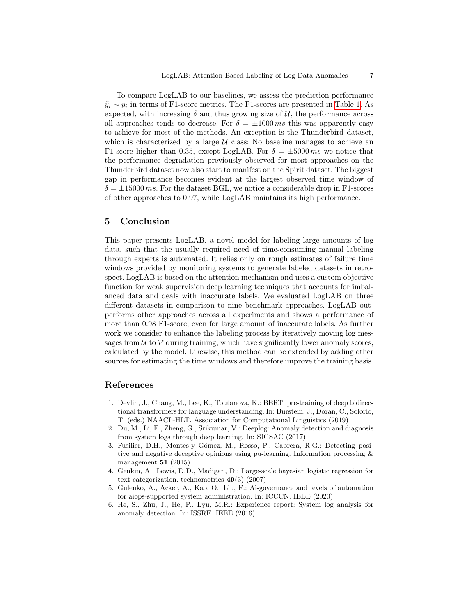To compare LogLAB to our baselines, we assess the prediction performance  $\tilde{y}_i \sim y_i$  in terms of F1-score metrics. The F1-scores are presented in [Table 1.](#page-5-0) As expected, with increasing  $\delta$  and thus growing size of  $\mathcal{U}$ , the performance across all approaches tends to decrease. For  $\delta = \pm 1000 \text{ ms}$  this was apparently easy to achieve for most of the methods. An exception is the Thunderbird dataset, which is characterized by a large  $U$  class: No baseline manages to achieve an F1-score higher than 0.35, except LogLAB. For  $\delta = \pm 5000 \, \text{ms}$  we notice that the performance degradation previously observed for most approaches on the Thunderbird dataset now also start to manifest on the Spirit dataset. The biggest gap in performance becomes evident at the largest observed time window of  $\delta = \pm 15000 \, ms$ . For the dataset BGL, we notice a considerable drop in F1-scores of other approaches to 0.97, while LogLAB maintains its high performance.

## <span id="page-6-2"></span>5 Conclusion

This paper presents LogLAB, a novel model for labeling large amounts of log data, such that the usually required need of time-consuming manual labeling through experts is automated. It relies only on rough estimates of failure time windows provided by monitoring systems to generate labeled datasets in retrospect. LogLAB is based on the attention mechanism and uses a custom objective function for weak supervision deep learning techniques that accounts for imbalanced data and deals with inaccurate labels. We evaluated LogLAB on three different datasets in comparison to nine benchmark approaches. LogLAB outperforms other approaches across all experiments and shows a performance of more than 0.98 F1-score, even for large amount of inaccurate labels. As further work we consider to enhance the labeling process by iteratively moving log messages from  $U$  to  $\mathcal P$  during training, which have significantly lower anomaly scores, calculated by the model. Likewise, this method can be extended by adding other sources for estimating the time windows and therefore improve the training basis.

# References

- <span id="page-6-6"></span>1. Devlin, J., Chang, M., Lee, K., Toutanova, K.: BERT: pre-training of deep bidirectional transformers for language understanding. In: Burstein, J., Doran, C., Solorio, T. (eds.) NAACL-HLT. Association for Computational Linguistics (2019)
- <span id="page-6-1"></span>2. Du, M., Li, F., Zheng, G., Srikumar, V.: Deeplog: Anomaly detection and diagnosis from system logs through deep learning. In: SIGSAC (2017)
- <span id="page-6-5"></span>3. Fusilier, D.H., Montes-y G´omez, M., Rosso, P., Cabrera, R.G.: Detecting positive and negative deceptive opinions using pu-learning. Information processing & management  $51$  (2015)
- <span id="page-6-3"></span>4. Genkin, A., Lewis, D.D., Madigan, D.: Large-scale bayesian logistic regression for text categorization. technometrics  $49(3)$  (2007)
- <span id="page-6-0"></span>5. Gulenko, A., Acker, A., Kao, O., Liu, F.: Ai-governance and levels of automation for aiops-supported system administration. In: ICCCN. IEEE (2020)
- <span id="page-6-4"></span>6. He, S., Zhu, J., He, P., Lyu, M.R.: Experience report: System log analysis for anomaly detection. In: ISSRE. IEEE (2016)